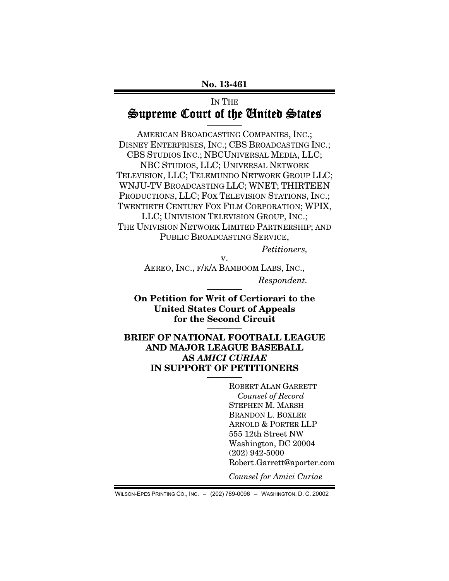## IN THE Supreme Court of the United States

————

AMERICAN BROADCASTING COMPANIES, INC.; DISNEY ENTERPRISES, INC.; CBS BROADCASTING INC.; CBS STUDIOS INC.; NBCUNIVERSAL MEDIA, LLC; NBC STUDIOS, LLC; UNIVERSAL NETWORK TELEVISION, LLC; TELEMUNDO NETWORK GROUP LLC; WNJU-TV BROADCASTING LLC; WNET; THIRTEEN PRODUCTIONS, LLC; FOX TELEVISION STATIONS, INC.; TWENTIETH CENTURY FOX FILM CORPORATION; WPIX, LLC; UNIVISION TELEVISION GROUP, INC.; THE UNIVISION NETWORK LIMITED PARTNERSHIP; AND PUBLIC BROADCASTING SERVICE,

Petitioners,

v. AEREO, INC., F/K/A BAMBOOM LABS, INC.,  $Respondent.$ 

On Petition for Writ of Certiorari to the United States Court of Appeals for the Second Circuit

BRIEF OF NATIONAL FOOTBALL LEAGUE AND MAJOR LEAGUE BASEBALL AS AMICI CURIAE IN SUPPORT OF PETITIONERS

> ROBERT ALAN GARRETT Counsel of Record STEPHEN M. MARSH BRANDON L. BOXLER ARNOLD & PORTER LLP 555 12th Street NW Washington, DC 20004 (202) 942-5000 Robert.Garrett@aporter.com

Counsel for Amici Curiae

WILSON-EPES PRINTING CO., INC. – (202) 789-0096 – WASHINGTON, D. C. 20002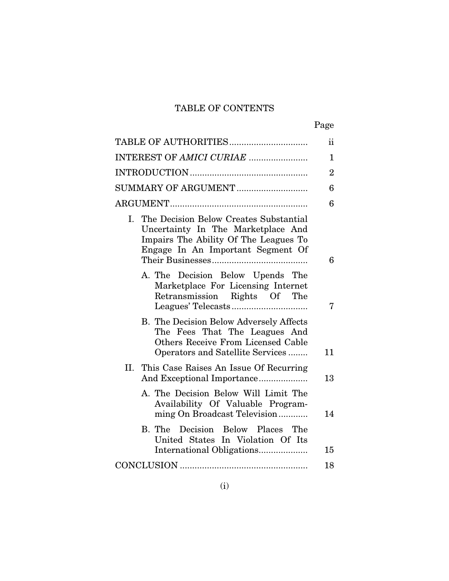# TABLE OF CONTENTS

|  | Page |
|--|------|
|  |      |

|                                                                                                                                                                  | $\overline{2}$ |
|------------------------------------------------------------------------------------------------------------------------------------------------------------------|----------------|
| SUMMARY OF ARGUMENT                                                                                                                                              | 6              |
|                                                                                                                                                                  | 6              |
| The Decision Below Creates Substantial<br>L.<br>Uncertainty In The Marketplace And<br>Impairs The Ability Of The Leagues To<br>Engage In An Important Segment Of | 6              |
| A. The Decision Below Upends The<br>Marketplace For Licensing Internet<br>Retransmission Rights Of The                                                           | 7              |
| B. The Decision Below Adversely Affects<br>The Fees That The Leagues And<br>Others Receive From Licensed Cable<br>Operators and Satellite Services               | 11             |
| II. This Case Raises An Issue Of Recurring<br>And Exceptional Importance                                                                                         | 13             |
| A. The Decision Below Will Limit The<br>Availability Of Valuable Program-<br>ming On Broadcast Television                                                        | 14             |
| B. The Decision Below Places The<br>United States In Violation Of Its<br>International Obligations                                                               | 15             |
|                                                                                                                                                                  | 18             |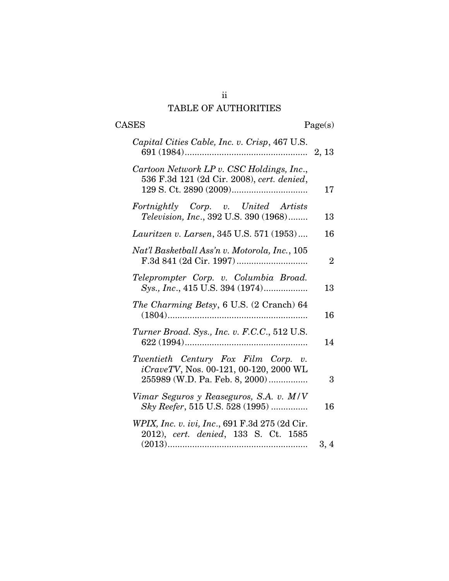# TABLE OF AUTHORITIES

| <b>CASES</b><br>Page(s)                                                                                         |                |
|-----------------------------------------------------------------------------------------------------------------|----------------|
| Capital Cities Cable, Inc. v. Crisp, 467 U.S.                                                                   |                |
| Cartoon Network LP v. CSC Holdings, Inc.,<br>536 F.3d 121 (2d Cir. 2008), cert. denied,                         | 17             |
| Fortnightly Corp. v. United Artists<br>Television, Inc., 392 U.S. 390 (1968)                                    | 13             |
| Lauritzen v. Larsen, 345 U.S. 571 (1953)                                                                        | 16             |
| Nat'l Basketball Ass'n v. Motorola, Inc., 105                                                                   | $\overline{2}$ |
| Teleprompter Corp. v. Columbia Broad.<br>Sys., Inc., 415 U.S. 394 (1974)                                        | 13             |
| The Charming Betsy, 6 U.S. (2 Cranch) 64<br>$(1804)$                                                            | 16             |
| Turner Broad. Sys., Inc. v. F.C.C., 512 U.S.                                                                    | 14             |
| Twentieth Century Fox Film Corp. v.<br>iCraveTV, Nos. 00-121, 00-120, 2000 WL<br>255989 (W.D. Pa. Feb. 8, 2000) | 3              |
| Vimar Seguros y Reaseguros, S.A. v. M/V<br>Sky Reefer, 515 U.S. 528 (1995)                                      | 16             |
| WPIX, Inc. v. ivi, Inc., 691 F.3d 275 (2d Cir.<br>2012), cert. denied, 133 S. Ct. 1585                          |                |
|                                                                                                                 | 3,4            |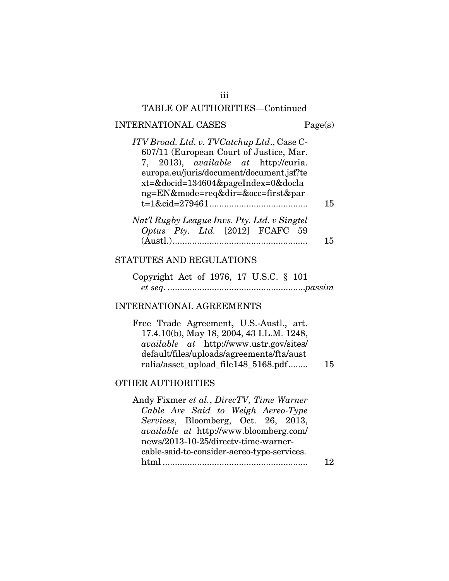#### TABLE OF AUTHORITIES—Continued

#### INTERNATIONAL CASES Page(s)

| ITV Broad. Ltd. v. TVCatchup Ltd., Case C-   |    |
|----------------------------------------------|----|
| 607/11 (European Court of Justice, Mar.      |    |
| 7, 2013), <i>available at</i> http://curia.  |    |
| europa.eu/juris/document/document.jsf?te     |    |
| xt=&docid=134604&pageIndex=0&docla           |    |
| ng=EN&mode=req&dir=&occ=first∥               |    |
|                                              | 15 |
|                                              |    |
| Nat'l Rugby League Invs. Pty. Ltd. v Singtel |    |
| Optus Pty. Ltd. [2012] FCAFC 59              |    |

## STATUTES AND REGULATIONS

Copyright Act of 1976, 17 U.S.C. § 101 et seq. ........................................................passim

(Austl.) ....................................................... 15

### INTERNATIONAL AGREEMENTS

Free Trade Agreement, U.S.-Austl., art. 17.4.10(b), May 18, 2004, 43 I.L.M. 1248, available at http://www.ustr.gov/sites/ default/files/uploads/agreements/fta/aust ralia/asset\_upload\_file148\_5168.pdf ........ 15

#### OTHER AUTHORITIES

Andy Fixmer et al., DirecTV, Time Warner Cable Are Said to Weigh Aereo-Type Services, Bloomberg, Oct. 26, 2013, available at http://www.bloomberg.com/ news/2013-10-25/directv-time-warnercable-said-to-consider-aereo-type-services. html ........................................................... 12

iii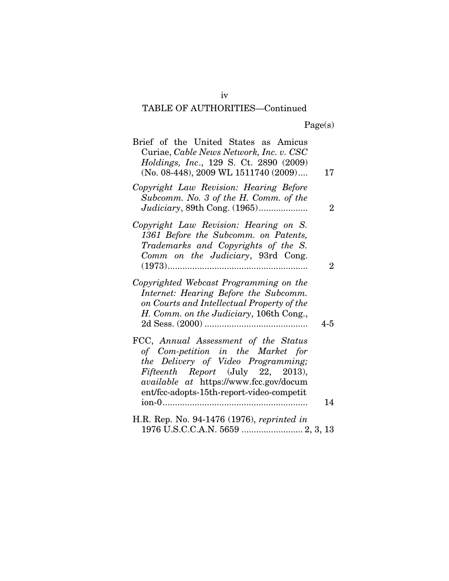# TABLE OF AUTHORITIES—Continued

| Brief of the United States as Amicus<br>Curiae, Cable News Network, Inc. v. CSC<br>Holdings, Inc., 129 S. Ct. 2890 (2009)<br>(No. 08-448), 2009 WL 1511740 (2009)                                                                                  | 17             |
|----------------------------------------------------------------------------------------------------------------------------------------------------------------------------------------------------------------------------------------------------|----------------|
| Copyright Law Revision: Hearing Before<br>Subcomm. No. 3 of the H. Comm. of the                                                                                                                                                                    | $\overline{2}$ |
| Copyright Law Revision: Hearing on S.<br>1361 Before the Subcomm. on Patents,<br>Trademarks and Copyrights of the S.<br>Comm on the Judiciary, 93rd Cong.                                                                                          | $\overline{2}$ |
| Copyrighted Webcast Programming on the<br>Internet: Hearing Before the Subcomm.<br>on Courts and Intellectual Property of the<br>H. Comm. on the Judiciary, 106th Cong.,                                                                           | 4-5            |
| FCC, Annual Assessment of the Status<br>of Com-petition in the Market for<br>the Delivery of Video Programming;<br>Fifteenth Report (July 22, 2013),<br><i>available at https://www.fcc.gov/docum</i><br>ent/fcc-adopts-15th-report-video-competit | 14             |
| H.R. Rep. No. 94-1476 (1976), reprinted in                                                                                                                                                                                                         |                |
| 1976 U.S.C.C.A.N. 5659  2, 3, 13                                                                                                                                                                                                                   |                |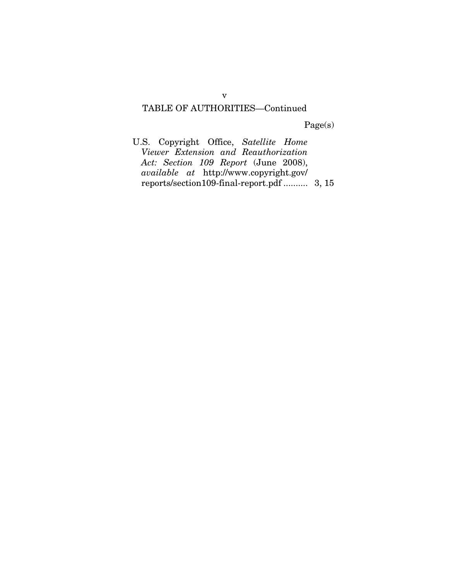## TABLE OF AUTHORITIES—Continued

Page(s)

U.S. Copyright Office, Satellite Home Viewer Extension and Reauthorization Act: Section 109 Report (June 2008), available at http://www.copyright.gov/ reports/section109-final-report.pdf .......... 3, 15

v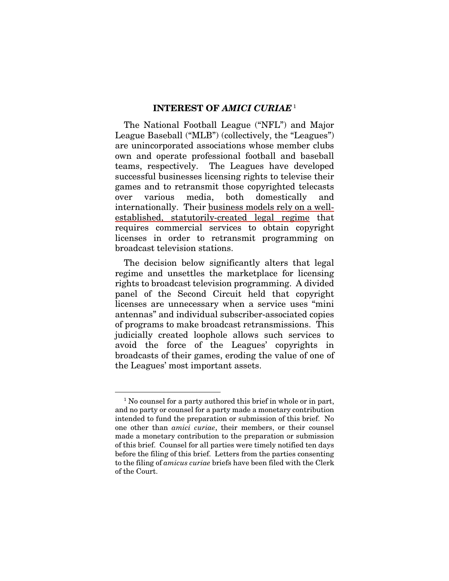#### INTEREST OF AMICI CURIAE<sup>1</sup>

The National Football League ("NFL") and Major League Baseball ("MLB") (collectively, the "Leagues") are unincorporated associations whose member clubs own and operate professional football and baseball teams, respectively. The Leagues have developed successful businesses licensing rights to televise their games and to retransmit those copyrighted telecasts over various media, both domestically and internationally. Their business models rely on a wellestablished, statutorily-created legal regime that requires commercial services to obtain copyright licenses in order to retransmit programming on broadcast television stations.

The decision below significantly alters that legal regime and unsettles the marketplace for licensing rights to broadcast television programming. A divided panel of the Second Circuit held that copyright licenses are unnecessary when a service uses "mini antennas" and individual subscriber-associated copies of programs to make broadcast retransmissions. This judicially created loophole allows such services to avoid the force of the Leagues' copyrights in broadcasts of their games, eroding the value of one of the Leagues' most important assets.

 <sup>1</sup> No counsel for a party authored this brief in whole or in part, and no party or counsel for a party made a monetary contribution intended to fund the preparation or submission of this brief. No one other than amici curiae, their members, or their counsel made a monetary contribution to the preparation or submission of this brief. Counsel for all parties were timely notified ten days before the filing of this brief. Letters from the parties consenting to the filing of amicus curiae briefs have been filed with the Clerk of the Court.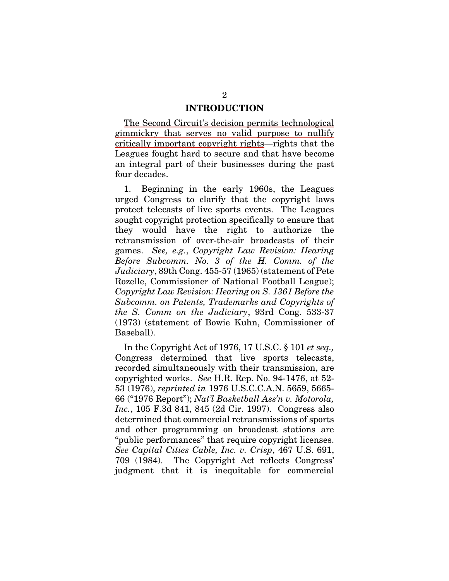#### INTRODUCTION

The Second Circuit's decision permits technological gimmickry that serves no valid purpose to nullify critically important copyright rights—rights that the Leagues fought hard to secure and that have become an integral part of their businesses during the past four decades.

1. Beginning in the early 1960s, the Leagues urged Congress to clarify that the copyright laws protect telecasts of live sports events. The Leagues sought copyright protection specifically to ensure that they would have the right to authorize the retransmission of over-the-air broadcasts of their games. See, e.g., Copyright Law Revision: Hearing Before Subcomm. No. 3 of the H. Comm. of the Judiciary, 89th Cong. 455-57 (1965) (statement of Pete Rozelle, Commissioner of National Football League); Copyright Law Revision: Hearing on S. 1361 Before the Subcomm. on Patents, Trademarks and Copyrights of the S. Comm on the Judiciary, 93rd Cong. 533-37 (1973) (statement of Bowie Kuhn, Commissioner of Baseball).

In the Copyright Act of 1976, 17 U.S.C. § 101 et seq., Congress determined that live sports telecasts, recorded simultaneously with their transmission, are copyrighted works. See H.R. Rep. No. 94-1476, at 52- 53 (1976), reprinted in 1976 U.S.C.C.A.N. 5659, 5665- 66 ("1976 Report"); Nat'l Basketball Ass'n v. Motorola, Inc., 105 F.3d 841, 845 (2d Cir. 1997). Congress also determined that commercial retransmissions of sports and other programming on broadcast stations are "public performances" that require copyright licenses. See Capital Cities Cable, Inc. v. Crisp, 467 U.S. 691, 709 (1984). The Copyright Act reflects Congress' judgment that it is inequitable for commercial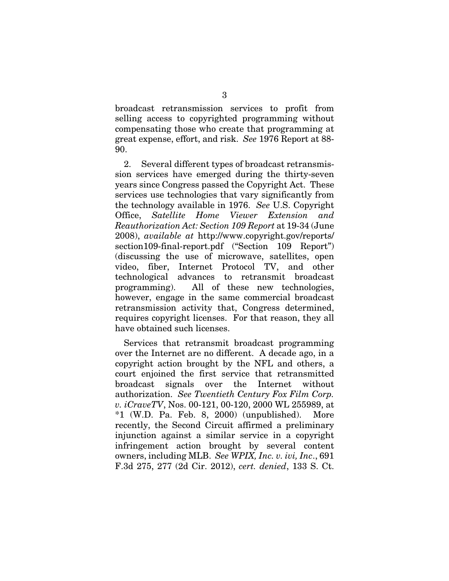broadcast retransmission services to profit from selling access to copyrighted programming without compensating those who create that programming at great expense, effort, and risk. See 1976 Report at 88- 90.

2. Several different types of broadcast retransmission services have emerged during the thirty-seven years since Congress passed the Copyright Act. These services use technologies that vary significantly from the technology available in 1976. See U.S. Copyright Office, Satellite Home Viewer Extension and Reauthorization Act: Section 109 Report at 19-34 (June 2008), available at http://www.copyright.gov/reports/ section109-final-report.pdf ("Section 109 Report") (discussing the use of microwave, satellites, open video, fiber, Internet Protocol TV, and other technological advances to retransmit broadcast programming). All of these new technologies, however, engage in the same commercial broadcast retransmission activity that, Congress determined, requires copyright licenses. For that reason, they all have obtained such licenses.

Services that retransmit broadcast programming over the Internet are no different. A decade ago, in a copyright action brought by the NFL and others, a court enjoined the first service that retransmitted broadcast signals over the Internet without authorization. See Twentieth Century Fox Film Corp. v. iCraveTV, Nos. 00-121, 00-120, 2000 WL 255989, at \*1 (W.D. Pa. Feb. 8, 2000) (unpublished). More recently, the Second Circuit affirmed a preliminary injunction against a similar service in a copyright infringement action brought by several content owners, including MLB. See WPIX, Inc. v. ivi, Inc., 691 F.3d 275, 277 (2d Cir. 2012), cert. denied, 133 S. Ct.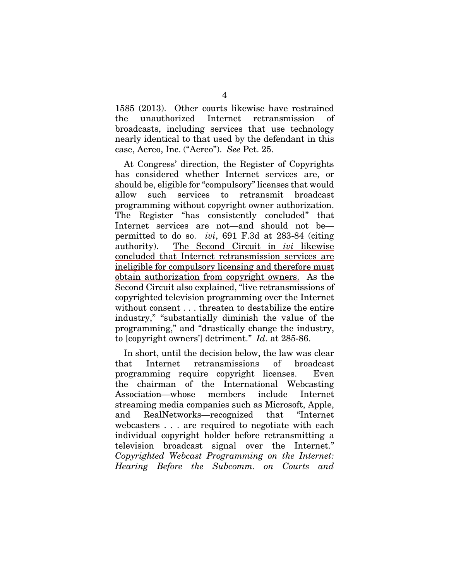1585 (2013). Other courts likewise have restrained the unauthorized Internet retransmission of broadcasts, including services that use technology nearly identical to that used by the defendant in this case, Aereo, Inc. ("Aereo"). See Pet. 25.

At Congress' direction, the Register of Copyrights has considered whether Internet services are, or should be, eligible for "compulsory" licenses that would allow such services to retransmit broadcast programming without copyright owner authorization. The Register "has consistently concluded" that Internet services are not—and should not be permitted to do so. ivi, 691 F.3d at 283-84 (citing authority). The Second Circuit in ivi likewise concluded that Internet retransmission services are ineligible for compulsory licensing and therefore must obtain authorization from copyright owners. As the Second Circuit also explained, "live retransmissions of copyrighted television programming over the Internet without consent . . . threaten to destabilize the entire industry," "substantially diminish the value of the programming," and "drastically change the industry, to [copyright owners'] detriment." Id. at 285-86.

In short, until the decision below, the law was clear that Internet retransmissions of broadcast programming require copyright licenses. Even the chairman of the International Webcasting Association—whose members include Internet streaming media companies such as Microsoft, Apple, and RealNetworks—recognized that "Internet webcasters . . . are required to negotiate with each individual copyright holder before retransmitting a television broadcast signal over the Internet." Copyrighted Webcast Programming on the Internet: Hearing Before the Subcomm. on Courts and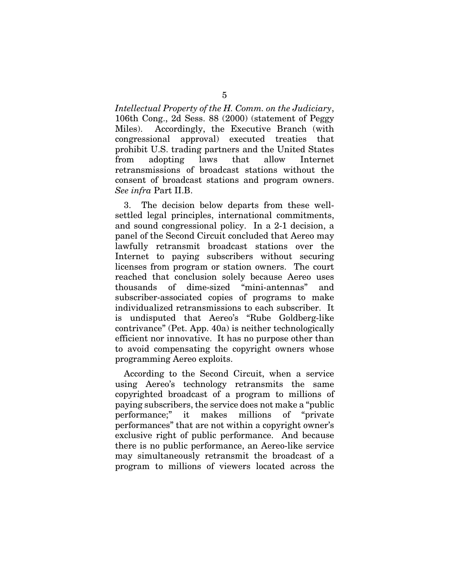Intellectual Property of the H. Comm. on the Judiciary, 106th Cong., 2d Sess. 88 (2000) (statement of Peggy Miles). Accordingly, the Executive Branch (with congressional approval) executed treaties that prohibit U.S. trading partners and the United States from adopting laws that allow Internet retransmissions of broadcast stations without the consent of broadcast stations and program owners. See infra Part II.B.

3. The decision below departs from these wellsettled legal principles, international commitments, and sound congressional policy. In a 2-1 decision, a panel of the Second Circuit concluded that Aereo may lawfully retransmit broadcast stations over the Internet to paying subscribers without securing licenses from program or station owners. The court reached that conclusion solely because Aereo uses thousands of dime-sized "mini-antennas" and subscriber-associated copies of programs to make individualized retransmissions to each subscriber. It is undisputed that Aereo's "Rube Goldberg-like contrivance" (Pet. App. 40a) is neither technologically efficient nor innovative. It has no purpose other than to avoid compensating the copyright owners whose programming Aereo exploits.

According to the Second Circuit, when a service using Aereo's technology retransmits the same copyrighted broadcast of a program to millions of paying subscribers, the service does not make a "public performance;" it makes millions of "private performances" that are not within a copyright owner's exclusive right of public performance. And because there is no public performance, an Aereo-like service may simultaneously retransmit the broadcast of a program to millions of viewers located across the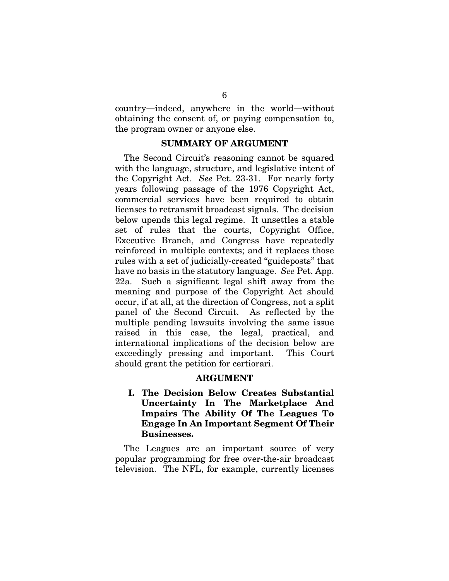country—indeed, anywhere in the world—without obtaining the consent of, or paying compensation to, the program owner or anyone else.

#### SUMMARY OF ARGUMENT

The Second Circuit's reasoning cannot be squared with the language, structure, and legislative intent of the Copyright Act. See Pet. 23-31. For nearly forty years following passage of the 1976 Copyright Act, commercial services have been required to obtain licenses to retransmit broadcast signals. The decision below upends this legal regime. It unsettles a stable set of rules that the courts, Copyright Office, Executive Branch, and Congress have repeatedly reinforced in multiple contexts; and it replaces those rules with a set of judicially-created "guideposts" that have no basis in the statutory language. See Pet. App. 22a. Such a significant legal shift away from the meaning and purpose of the Copyright Act should occur, if at all, at the direction of Congress, not a split panel of the Second Circuit. As reflected by the multiple pending lawsuits involving the same issue raised in this case, the legal, practical, and international implications of the decision below are exceedingly pressing and important. This Court should grant the petition for certiorari.

#### ARGUMENT

I. The Decision Below Creates Substantial Uncertainty In The Marketplace And Impairs The Ability Of The Leagues To Engage In An Important Segment Of Their Businesses.

The Leagues are an important source of very popular programming for free over-the-air broadcast television. The NFL, for example, currently licenses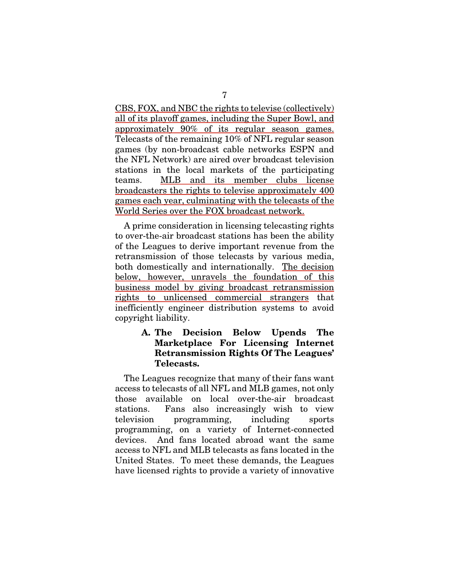CBS, FOX, and NBC the rights to televise (collectively) all of its playoff games, including the Super Bowl, and approximately 90% of its regular season games. Telecasts of the remaining 10% of NFL regular season games (by non-broadcast cable networks ESPN and the NFL Network) are aired over broadcast television stations in the local markets of the participating teams. MLB and its member clubs license broadcasters the rights to televise approximately 400 games each year, culminating with the telecasts of the World Series over the FOX broadcast network.

A prime consideration in licensing telecasting rights to over-the-air broadcast stations has been the ability of the Leagues to derive important revenue from the retransmission of those telecasts by various media, both domestically and internationally. The decision below, however, unravels the foundation of this business model by giving broadcast retransmission rights to unlicensed commercial strangers that inefficiently engineer distribution systems to avoid copyright liability.

## A. The Decision Below Upends The Marketplace For Licensing Internet Retransmission Rights Of The Leagues' Telecasts.

The Leagues recognize that many of their fans want access to telecasts of all NFL and MLB games, not only those available on local over-the-air broadcast stations. Fans also increasingly wish to view television programming, including sports programming, on a variety of Internet-connected devices. And fans located abroad want the same access to NFL and MLB telecasts as fans located in the United States. To meet these demands, the Leagues have licensed rights to provide a variety of innovative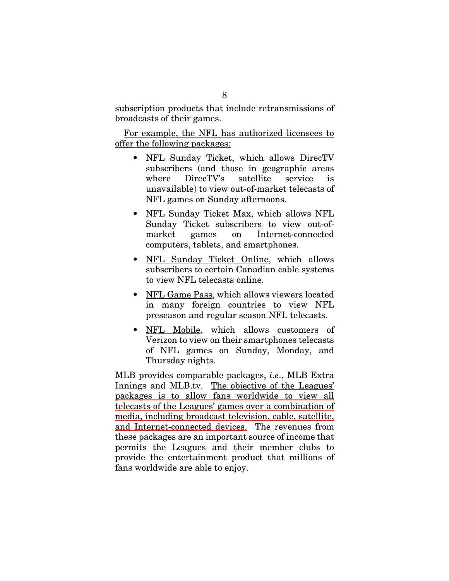subscription products that include retransmissions of broadcasts of their games.

For example, the NFL has authorized licensees to offer the following packages:

- NFL Sunday Ticket, which allows DirecTV subscribers (and those in geographic areas where DirecTV's satellite service is unavailable) to view out-of-market telecasts of NFL games on Sunday afternoons.
- NFL Sunday Ticket Max, which allows NFL Sunday Ticket subscribers to view out-ofmarket games on Internet-connected computers, tablets, and smartphones.
- NFL Sunday Ticket Online, which allows subscribers to certain Canadian cable systems to view NFL telecasts online.
- NFL Game Pass, which allows viewers located in many foreign countries to view NFL preseason and regular season NFL telecasts.
- NFL Mobile, which allows customers of Verizon to view on their smartphones telecasts of NFL games on Sunday, Monday, and Thursday nights.

MLB provides comparable packages, i.e., MLB Extra Innings and MLB.tv. The objective of the Leagues' packages is to allow fans worldwide to view all telecasts of the Leagues' games over a combination of media, including broadcast television, cable, satellite, and Internet-connected devices. The revenues from these packages are an important source of income that permits the Leagues and their member clubs to provide the entertainment product that millions of fans worldwide are able to enjoy.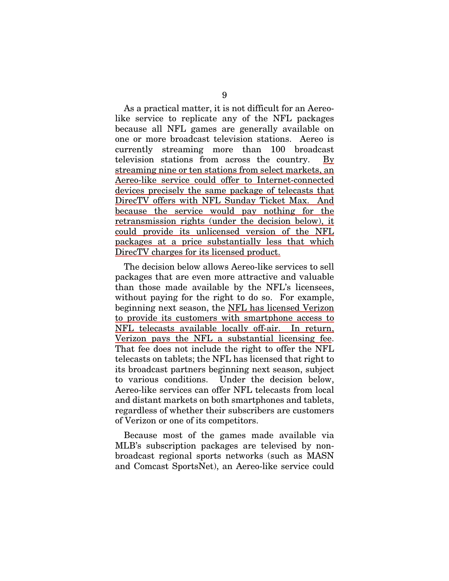As a practical matter, it is not difficult for an Aereolike service to replicate any of the NFL packages because all NFL games are generally available on one or more broadcast television stations. Aereo is currently streaming more than 100 broadcast television stations from across the country. By streaming nine or ten stations from select markets, an Aereo-like service could offer to Internet-connected devices precisely the same package of telecasts that DirecTV offers with NFL Sunday Ticket Max. And because the service would pay nothing for the retransmission rights (under the decision below), it could provide its unlicensed version of the NFL packages at a price substantially less that which DirecTV charges for its licensed product.

The decision below allows Aereo-like services to sell packages that are even more attractive and valuable than those made available by the NFL's licensees, without paying for the right to do so. For example, beginning next season, the <u>NFL has licensed Verizon</u> to provide its customers with smartphone access to NFL telecasts available locally off-air. In return, Verizon pays the NFL a substantial licensing fee. That fee does not include the right to offer the NFL telecasts on tablets; the NFL has licensed that right to its broadcast partners beginning next season, subject to various conditions. Under the decision below, Aereo-like services can offer NFL telecasts from local and distant markets on both smartphones and tablets, regardless of whether their subscribers are customers of Verizon or one of its competitors.

Because most of the games made available via MLB's subscription packages are televised by nonbroadcast regional sports networks (such as MASN and Comcast SportsNet), an Aereo-like service could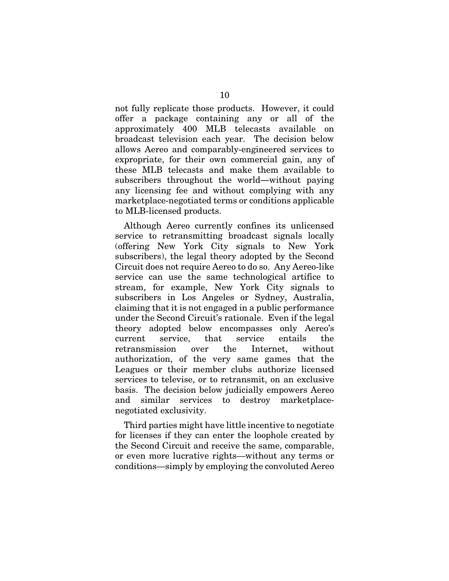not fully replicate those products. However, it could offer a package containing any or all of the approximately 400 MLB telecasts available on broadcast television each year. The decision below allows Aereo and comparably-engineered services to expropriate, for their own commercial gain, any of these MLB telecasts and make them available to subscribers throughout the world—without paying any licensing fee and without complying with any marketplace-negotiated terms or conditions applicable to MLB-licensed products.

Although Aereo currently confines its unlicensed service to retransmitting broadcast signals locally (offering New York City signals to New York subscribers), the legal theory adopted by the Second Circuit does not require Aereo to do so. Any Aereo-like service can use the same technological artifice to stream, for example, New York City signals to subscribers in Los Angeles or Sydney, Australia, claiming that it is not engaged in a public performance under the Second Circuit's rationale. Even if the legal theory adopted below encompasses only Aereo's current service, that service entails the retransmission over the Internet, without authorization, of the very same games that the Leagues or their member clubs authorize licensed services to televise, or to retransmit, on an exclusive basis. The decision below judicially empowers Aereo and similar services to destroy marketplacenegotiated exclusivity.

Third parties might have little incentive to negotiate for licenses if they can enter the loophole created by the Second Circuit and receive the same, comparable, or even more lucrative rights—without any terms or conditions—simply by employing the convoluted Aereo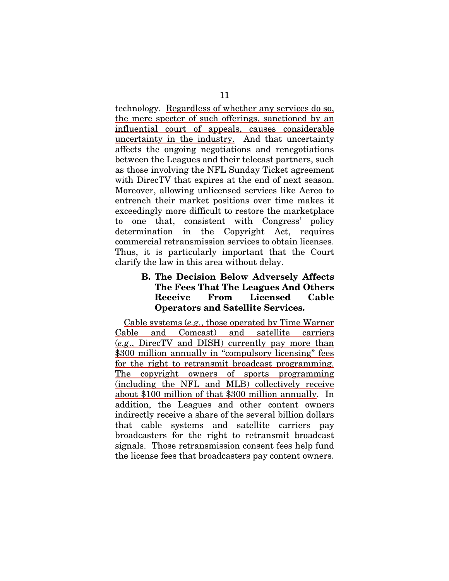technology. Regardless of whether any services do so, the mere specter of such offerings, sanctioned by an influential court of appeals, causes considerable uncertainty in the industry. And that uncertainty affects the ongoing negotiations and renegotiations between the Leagues and their telecast partners, such as those involving the NFL Sunday Ticket agreement with DirecTV that expires at the end of next season. Moreover, allowing unlicensed services like Aereo to entrench their market positions over time makes it exceedingly more difficult to restore the marketplace to one that, consistent with Congress' policy determination in the Copyright Act, requires commercial retransmission services to obtain licenses. Thus, it is particularly important that the Court clarify the law in this area without delay.

## B. The Decision Below Adversely Affects The Fees That The Leagues And Others Receive From Licensed Cable Operators and Satellite Services.

Cable systems (e.g., those operated by Time Warner Cable and Comcast) and satellite carriers (e.g., DirecTV and DISH) currently pay more than \$300 million annually in "compulsory licensing" fees for the right to retransmit broadcast programming. The copyright owners of sports programming (including the NFL and MLB) collectively receive about \$100 million of that \$300 million annually. In addition, the Leagues and other content owners indirectly receive a share of the several billion dollars that cable systems and satellite carriers pay broadcasters for the right to retransmit broadcast signals. Those retransmission consent fees help fund the license fees that broadcasters pay content owners.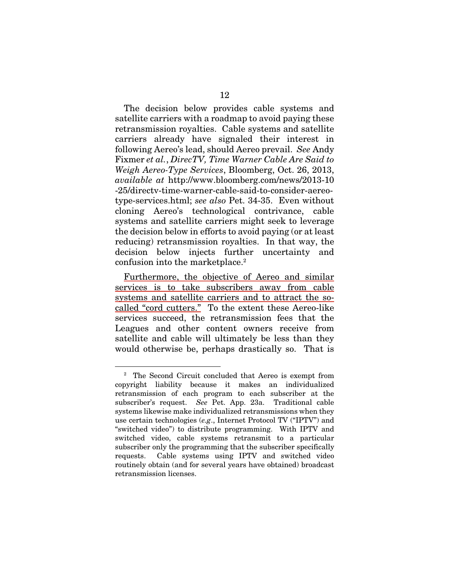The decision below provides cable systems and satellite carriers with a roadmap to avoid paying these retransmission royalties. Cable systems and satellite carriers already have signaled their interest in following Aereo's lead, should Aereo prevail. See Andy Fixmer et al., DirecTV, Time Warner Cable Are Said to Weigh Aereo-Type Services, Bloomberg, Oct. 26, 2013, available at http://www.bloomberg.com/news/2013-10 -25/directv-time-warner-cable-said-to-consider-aereotype-services.html; see also Pet. 34-35. Even without cloning Aereo's technological contrivance, cable systems and satellite carriers might seek to leverage the decision below in efforts to avoid paying (or at least reducing) retransmission royalties. In that way, the decision below injects further uncertainty and confusion into the marketplace.2

Furthermore, the objective of Aereo and similar services is to take subscribers away from cable systems and satellite carriers and to attract the socalled "cord cutters." To the extent these Aereo-like services succeed, the retransmission fees that the Leagues and other content owners receive from satellite and cable will ultimately be less than they would otherwise be, perhaps drastically so. That is

<sup>&</sup>lt;sup>2</sup> The Second Circuit concluded that Aereo is exempt from copyright liability because it makes an individualized retransmission of each program to each subscriber at the subscriber's request. See Pet. App. 23a. Traditional cable systems likewise make individualized retransmissions when they use certain technologies (e.g., Internet Protocol TV ("IPTV") and "switched video") to distribute programming. With IPTV and switched video, cable systems retransmit to a particular subscriber only the programming that the subscriber specifically requests. Cable systems using IPTV and switched video routinely obtain (and for several years have obtained) broadcast retransmission licenses.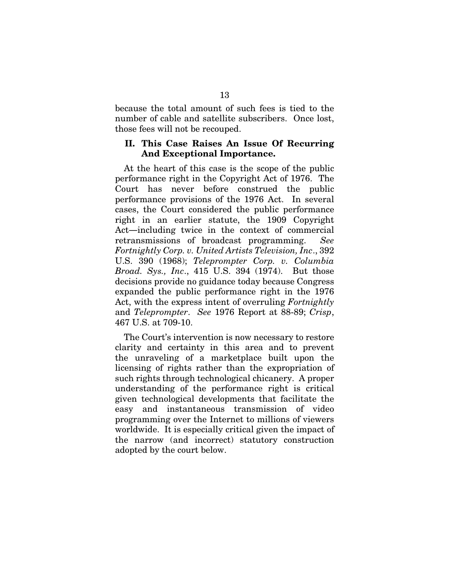because the total amount of such fees is tied to the number of cable and satellite subscribers. Once lost, those fees will not be recouped.

#### II. This Case Raises An Issue Of Recurring And Exceptional Importance.

At the heart of this case is the scope of the public performance right in the Copyright Act of 1976. The Court has never before construed the public performance provisions of the 1976 Act. In several cases, the Court considered the public performance right in an earlier statute, the 1909 Copyright Act—including twice in the context of commercial retransmissions of broadcast programming. See Fortnightly Corp. v. United Artists Television, Inc., 392 U.S. 390 (1968); Teleprompter Corp. v. Columbia Broad. Sys., Inc., 415 U.S. 394 (1974). But those decisions provide no guidance today because Congress expanded the public performance right in the 1976 Act, with the express intent of overruling Fortnightly and Teleprompter. See 1976 Report at 88-89; Crisp, 467 U.S. at 709-10.

The Court's intervention is now necessary to restore clarity and certainty in this area and to prevent the unraveling of a marketplace built upon the licensing of rights rather than the expropriation of such rights through technological chicanery. A proper understanding of the performance right is critical given technological developments that facilitate the easy and instantaneous transmission of video programming over the Internet to millions of viewers worldwide. It is especially critical given the impact of the narrow (and incorrect) statutory construction adopted by the court below.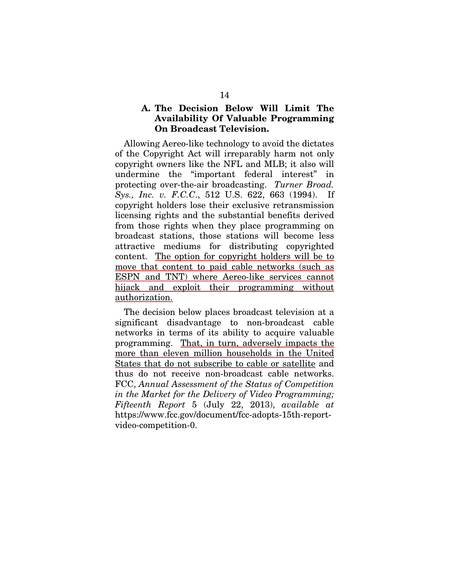## A. The Decision Below Will Limit The Availability Of Valuable Programming On Broadcast Television.

Allowing Aereo-like technology to avoid the dictates of the Copyright Act will irreparably harm not only copyright owners like the NFL and MLB; it also will undermine the "important federal interest" in protecting over-the-air broadcasting. Turner Broad. Sys., *Inc. v. F.C.C.*, 512 U.S. 622, 663 (1994). If copyright holders lose their exclusive retransmission licensing rights and the substantial benefits derived from those rights when they place programming on broadcast stations, those stations will become less attractive mediums for distributing copyrighted content. The option for copyright holders will be to move that content to paid cable networks (such as ESPN and TNT) where Aereo-like services cannot hijack and exploit their programming without authorization.

The decision below places broadcast television at a significant disadvantage to non-broadcast cable networks in terms of its ability to acquire valuable programming. That, in turn, adversely impacts the more than eleven million households in the United States that do not subscribe to cable or satellite and thus do not receive non-broadcast cable networks. FCC, Annual Assessment of the Status of Competition in the Market for the Delivery of Video Programming; Fifteenth Report 5 (July 22, 2013), available at https://www.fcc.gov/document/fcc-adopts-15th-reportvideo-competition-0.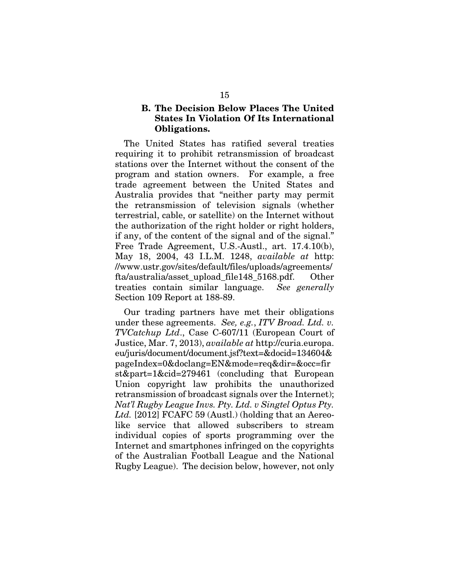## B. The Decision Below Places The United States In Violation Of Its International Obligations.

The United States has ratified several treaties requiring it to prohibit retransmission of broadcast stations over the Internet without the consent of the program and station owners. For example, a free trade agreement between the United States and Australia provides that "neither party may permit the retransmission of television signals (whether terrestrial, cable, or satellite) on the Internet without the authorization of the right holder or right holders, if any, of the content of the signal and of the signal." Free Trade Agreement, U.S.-Austl., art. 17.4.10(b), May 18, 2004, 43 I.L.M. 1248, available at http: //www.ustr.gov/sites/default/files/uploads/agreements/ fta/australia/asset\_upload\_file148\_5168.pdf. Other treaties contain similar language. See generally Section 109 Report at 188-89.

Our trading partners have met their obligations under these agreements. See, e.g., ITV Broad. Ltd. v. TVCatchup Ltd., Case C-607/11 (European Court of Justice, Mar. 7, 2013), available at http://curia.europa. eu/juris/document/document.jsf?text=&docid=134604& pageIndex=0&doclang=EN&mode=req&dir=&occ=fir st&part=1&cid=279461 (concluding that European Union copyright law prohibits the unauthorized retransmission of broadcast signals over the Internet); Nat'l Rugby League Invs. Pty. Ltd. v Singtel Optus Pty. Ltd. [2012] FCAFC 59 (Austl.) (holding that an Aereolike service that allowed subscribers to stream individual copies of sports programming over the Internet and smartphones infringed on the copyrights of the Australian Football League and the National Rugby League). The decision below, however, not only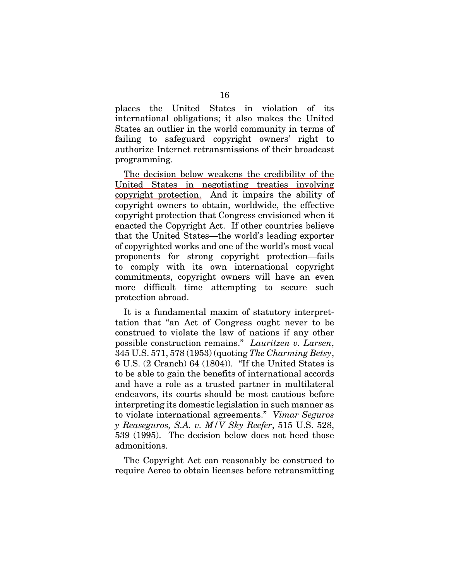places the United States in violation of its international obligations; it also makes the United States an outlier in the world community in terms of failing to safeguard copyright owners' right to authorize Internet retransmissions of their broadcast programming.

The decision below weakens the credibility of the United States in negotiating treaties involving copyright protection. And it impairs the ability of copyright owners to obtain, worldwide, the effective copyright protection that Congress envisioned when it enacted the Copyright Act. If other countries believe that the United States—the world's leading exporter of copyrighted works and one of the world's most vocal proponents for strong copyright protection—fails to comply with its own international copyright commitments, copyright owners will have an even more difficult time attempting to secure such protection abroad.

It is a fundamental maxim of statutory interprettation that "an Act of Congress ought never to be construed to violate the law of nations if any other possible construction remains." Lauritzen v. Larsen, 345 U.S. 571, 578 (1953) (quoting The Charming Betsy, 6 U.S. (2 Cranch) 64 (1804)). "If the United States is to be able to gain the benefits of international accords and have a role as a trusted partner in multilateral endeavors, its courts should be most cautious before interpreting its domestic legislation in such manner as to violate international agreements." Vimar Seguros y Reaseguros, S.A. v. M/V Sky Reefer, 515 U.S. 528, 539 (1995). The decision below does not heed those admonitions.

The Copyright Act can reasonably be construed to require Aereo to obtain licenses before retransmitting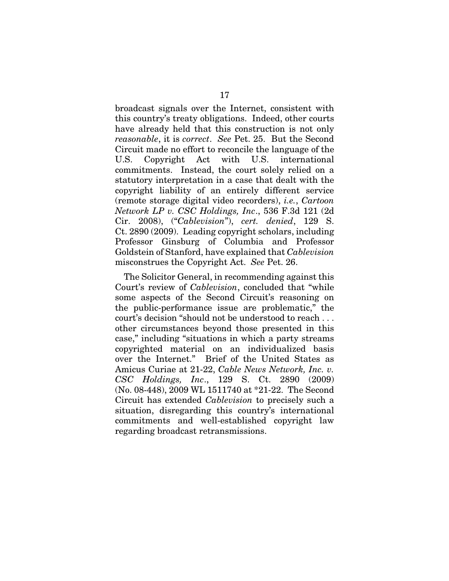broadcast signals over the Internet, consistent with this country's treaty obligations. Indeed, other courts have already held that this construction is not only reasonable, it is correct. See Pet. 25. But the Second Circuit made no effort to reconcile the language of the U.S. Copyright Act with U.S. international commitments. Instead, the court solely relied on a statutory interpretation in a case that dealt with the copyright liability of an entirely different service (remote storage digital video recorders), i.e., Cartoon Network LP v. CSC Holdings, Inc., 536 F.3d 121 (2d Cir. 2008), ("Cablevision"), cert. denied, 129 S. Ct. 2890 (2009). Leading copyright scholars, including Professor Ginsburg of Columbia and Professor Goldstein of Stanford, have explained that Cablevision misconstrues the Copyright Act. See Pet. 26.

The Solicitor General, in recommending against this Court's review of Cablevision, concluded that "while some aspects of the Second Circuit's reasoning on the public-performance issue are problematic," the court's decision "should not be understood to reach . . . other circumstances beyond those presented in this case," including "situations in which a party streams copyrighted material on an individualized basis over the Internet." Brief of the United States as Amicus Curiae at 21-22, Cable News Network, Inc. v. CSC Holdings, Inc., 129 S. Ct. 2890 (2009) (No. 08-448), 2009 WL 1511740 at \*21-22. The Second Circuit has extended Cablevision to precisely such a situation, disregarding this country's international commitments and well-established copyright law regarding broadcast retransmissions.